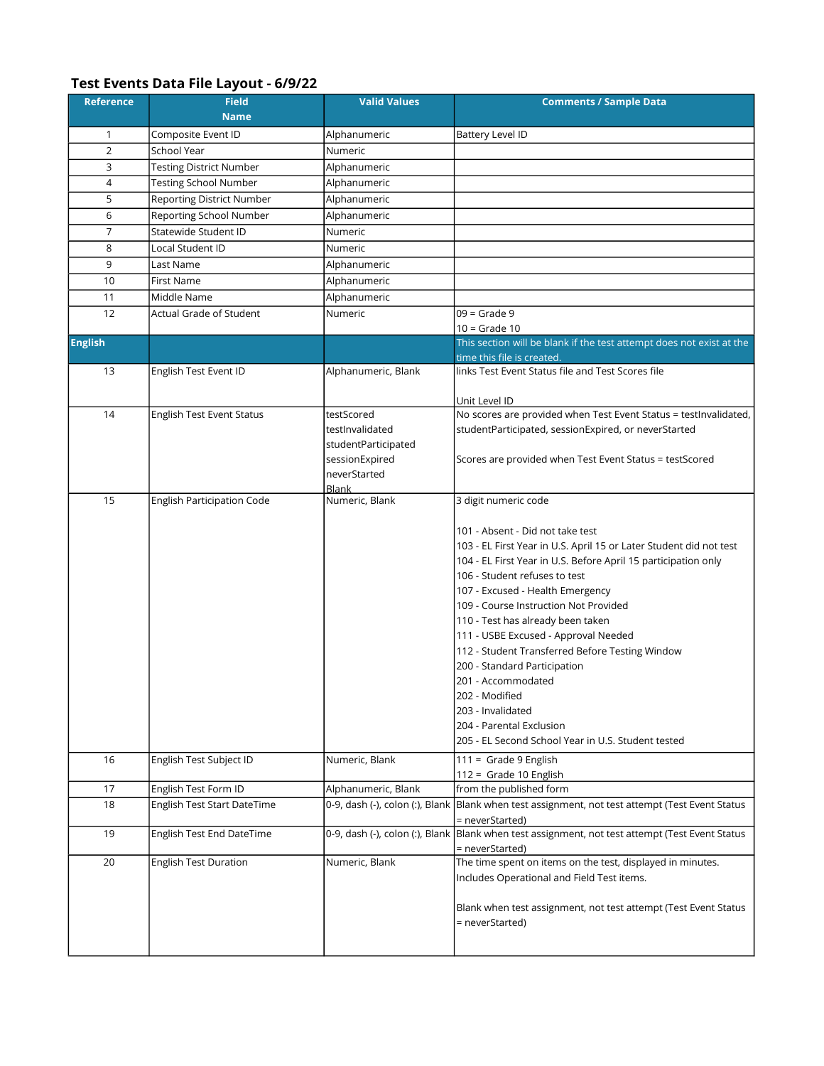## Test Events Data File Layout - 6/9/22

| <b>Reference</b> | <b>Field</b><br><b>Name</b>      | <b>Valid Values</b>            | <b>Comments / Sample Data</b>                                                                                                                                                                                                                                                                                                                                                                                                                                                                                                                                                                         |
|------------------|----------------------------------|--------------------------------|-------------------------------------------------------------------------------------------------------------------------------------------------------------------------------------------------------------------------------------------------------------------------------------------------------------------------------------------------------------------------------------------------------------------------------------------------------------------------------------------------------------------------------------------------------------------------------------------------------|
| 1                | Composite Event ID               | Alphanumeric                   | Battery Level ID                                                                                                                                                                                                                                                                                                                                                                                                                                                                                                                                                                                      |
| $\overline{2}$   | School Year                      | Numeric                        |                                                                                                                                                                                                                                                                                                                                                                                                                                                                                                                                                                                                       |
| 3                | <b>Testing District Number</b>   | Alphanumeric                   |                                                                                                                                                                                                                                                                                                                                                                                                                                                                                                                                                                                                       |
| 4                | <b>Testing School Number</b>     | Alphanumeric                   |                                                                                                                                                                                                                                                                                                                                                                                                                                                                                                                                                                                                       |
| 5                | <b>Reporting District Number</b> | Alphanumeric                   |                                                                                                                                                                                                                                                                                                                                                                                                                                                                                                                                                                                                       |
| 6                | Reporting School Number          | Alphanumeric                   |                                                                                                                                                                                                                                                                                                                                                                                                                                                                                                                                                                                                       |
| 7                | Statewide Student ID             | Numeric                        |                                                                                                                                                                                                                                                                                                                                                                                                                                                                                                                                                                                                       |
| 8                | Local Student ID                 | Numeric                        |                                                                                                                                                                                                                                                                                                                                                                                                                                                                                                                                                                                                       |
| 9                | Last Name                        | Alphanumeric                   |                                                                                                                                                                                                                                                                                                                                                                                                                                                                                                                                                                                                       |
| 10               | <b>First Name</b>                | Alphanumeric                   |                                                                                                                                                                                                                                                                                                                                                                                                                                                                                                                                                                                                       |
| 11               | Middle Name                      | Alphanumeric                   |                                                                                                                                                                                                                                                                                                                                                                                                                                                                                                                                                                                                       |
| 12               | Actual Grade of Student          | Numeric                        | $09$ = Grade 9                                                                                                                                                                                                                                                                                                                                                                                                                                                                                                                                                                                        |
|                  |                                  |                                | $10 =$ Grade 10                                                                                                                                                                                                                                                                                                                                                                                                                                                                                                                                                                                       |
| <b>English</b>   |                                  |                                | This section will be blank if the test attempt does not exist at the                                                                                                                                                                                                                                                                                                                                                                                                                                                                                                                                  |
|                  |                                  |                                | time this file is created.                                                                                                                                                                                                                                                                                                                                                                                                                                                                                                                                                                            |
| 13               | English Test Event ID            | Alphanumeric, Blank            | links Test Event Status file and Test Scores file                                                                                                                                                                                                                                                                                                                                                                                                                                                                                                                                                     |
|                  |                                  |                                | Unit Level ID                                                                                                                                                                                                                                                                                                                                                                                                                                                                                                                                                                                         |
| 14               | English Test Event Status        | testScored                     | No scores are provided when Test Event Status = testInvalidated,                                                                                                                                                                                                                                                                                                                                                                                                                                                                                                                                      |
|                  |                                  | testInvalidated                | studentParticipated, sessionExpired, or neverStarted                                                                                                                                                                                                                                                                                                                                                                                                                                                                                                                                                  |
|                  |                                  | studentParticipated            |                                                                                                                                                                                                                                                                                                                                                                                                                                                                                                                                                                                                       |
|                  |                                  | sessionExpired                 | Scores are provided when Test Event Status = testScored                                                                                                                                                                                                                                                                                                                                                                                                                                                                                                                                               |
|                  |                                  | neverStarted                   |                                                                                                                                                                                                                                                                                                                                                                                                                                                                                                                                                                                                       |
| 15               | English Participation Code       | <b>Blank</b><br>Numeric, Blank | 3 digit numeric code                                                                                                                                                                                                                                                                                                                                                                                                                                                                                                                                                                                  |
|                  |                                  |                                | 101 - Absent - Did not take test<br>103 - EL First Year in U.S. April 15 or Later Student did not test<br>104 - EL First Year in U.S. Before April 15 participation only<br>106 - Student refuses to test<br>107 - Excused - Health Emergency<br>109 - Course Instruction Not Provided<br>110 - Test has already been taken<br>111 - USBE Excused - Approval Needed<br>112 - Student Transferred Before Testing Window<br>200 - Standard Participation<br>201 - Accommodated<br>202 - Modified<br>203 - Invalidated<br>204 - Parental Exclusion<br>205 - EL Second School Year in U.S. Student tested |
| 16               | English Test Subject ID          | Numeric, Blank                 | $111 =$ Grade 9 English<br>112 = Grade 10 English                                                                                                                                                                                                                                                                                                                                                                                                                                                                                                                                                     |
| 17               | English Test Form ID             | Alphanumeric, Blank            | from the published form                                                                                                                                                                                                                                                                                                                                                                                                                                                                                                                                                                               |
| 18               | English Test Start DateTime      |                                | 0-9, dash (-), colon (:), Blank  Blank when test assignment, not test attempt (Test Event Status                                                                                                                                                                                                                                                                                                                                                                                                                                                                                                      |
| 19               |                                  |                                | = neverStarted)<br>0-9, dash (-), colon (:), Blank Blank when test assignment, not test attempt (Test Event Status                                                                                                                                                                                                                                                                                                                                                                                                                                                                                    |
|                  | English Test End DateTime        |                                | = neverStarted)                                                                                                                                                                                                                                                                                                                                                                                                                                                                                                                                                                                       |
| 20               | <b>English Test Duration</b>     | Numeric, Blank                 | The time spent on items on the test, displayed in minutes.<br>Includes Operational and Field Test items.<br>Blank when test assignment, not test attempt (Test Event Status<br>= neverStarted)                                                                                                                                                                                                                                                                                                                                                                                                        |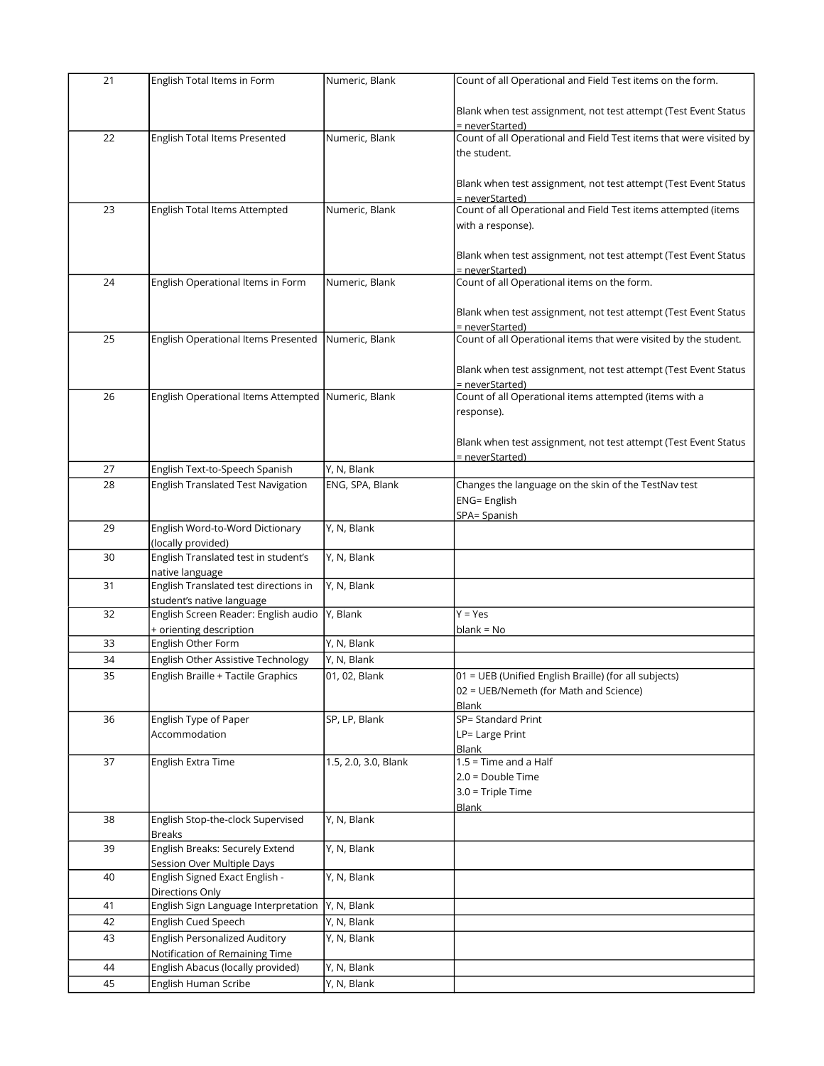| 21 | English Total Items in Form                        | Numeric, Blank       | Count of all Operational and Field Test items on the form.         |
|----|----------------------------------------------------|----------------------|--------------------------------------------------------------------|
|    |                                                    |                      |                                                                    |
|    |                                                    |                      | Blank when test assignment, not test attempt (Test Event Status    |
|    |                                                    |                      | = neverStarted)                                                    |
| 22 | English Total Items Presented                      | Numeric, Blank       | Count of all Operational and Field Test items that were visited by |
|    |                                                    |                      | the student.                                                       |
|    |                                                    |                      |                                                                    |
|    |                                                    |                      | Blank when test assignment, not test attempt (Test Event Status    |
|    |                                                    |                      | = neverStarted)                                                    |
| 23 | English Total Items Attempted                      | Numeric, Blank       | Count of all Operational and Field Test items attempted (items     |
|    |                                                    |                      | with a response).                                                  |
|    |                                                    |                      |                                                                    |
|    |                                                    |                      | Blank when test assignment, not test attempt (Test Event Status    |
|    |                                                    |                      | = neverStarted)                                                    |
| 24 | English Operational Items in Form                  | Numeric, Blank       | Count of all Operational items on the form.                        |
|    |                                                    |                      |                                                                    |
|    |                                                    |                      | Blank when test assignment, not test attempt (Test Event Status    |
|    |                                                    |                      | = neverStarted)                                                    |
| 25 | English Operational Items Presented Numeric, Blank |                      | Count of all Operational items that were visited by the student.   |
|    |                                                    |                      |                                                                    |
|    |                                                    |                      | Blank when test assignment, not test attempt (Test Event Status    |
|    |                                                    |                      | = neverStarted)                                                    |
| 26 | English Operational Items Attempted Numeric, Blank |                      | Count of all Operational items attempted (items with a             |
|    |                                                    |                      | response).                                                         |
|    |                                                    |                      |                                                                    |
|    |                                                    |                      | Blank when test assignment, not test attempt (Test Event Status    |
|    |                                                    |                      | = neverStarted)                                                    |
| 27 | English Text-to-Speech Spanish                     | Y, N, Blank          |                                                                    |
| 28 | English Translated Test Navigation                 | ENG, SPA, Blank      | Changes the language on the skin of the TestNav test               |
|    |                                                    |                      | ENG= English                                                       |
|    |                                                    |                      | SPA= Spanish                                                       |
| 29 | English Word-to-Word Dictionary                    | Y, N, Blank          |                                                                    |
|    | (locally provided)                                 |                      |                                                                    |
| 30 | English Translated test in student's               | Y, N, Blank          |                                                                    |
|    | native language                                    |                      |                                                                    |
| 31 | English Translated test directions in              | Y, N, Blank          |                                                                    |
|    | student's native language                          |                      |                                                                    |
| 32 | English Screen Reader: English audio               | Y, Blank             | $Y = Yes$                                                          |
|    | + orienting description                            |                      | $blank = No$                                                       |
| 33 | English Other Form                                 | Y, N, Blank          |                                                                    |
| 34 | English Other Assistive Technology                 | Y, N, Blank          |                                                                    |
|    |                                                    |                      |                                                                    |
| 35 | English Braille + Tactile Graphics                 | 01, 02, Blank        | 01 = UEB (Unified English Braille) (for all subjects)              |
|    |                                                    |                      | 02 = UEB/Nemeth (for Math and Science)                             |
|    |                                                    | SP, LP, Blank        | Blank<br>SP= Standard Print                                        |
| 36 | English Type of Paper                              |                      |                                                                    |
|    | Accommodation                                      |                      | LP= Large Print                                                    |
|    |                                                    |                      | Blank                                                              |
| 37 | English Extra Time                                 | 1.5, 2.0, 3.0, Blank | $1.5$ = Time and a Half                                            |
|    |                                                    |                      | $2.0 = Double Time$                                                |
|    |                                                    |                      | $3.0$ = Triple Time                                                |
|    |                                                    |                      | <b>Blank</b>                                                       |
| 38 | English Stop-the-clock Supervised                  | Y, N, Blank          |                                                                    |
|    | <b>Breaks</b>                                      |                      |                                                                    |
| 39 | <b>English Breaks: Securely Extend</b>             | Y, N, Blank          |                                                                    |
|    | Session Over Multiple Days                         |                      |                                                                    |
| 40 | English Signed Exact English -                     | Y, N, Blank          |                                                                    |
|    | Directions Only                                    |                      |                                                                    |
| 41 | English Sign Language Interpretation               | Y, N, Blank          |                                                                    |
| 42 | English Cued Speech                                | Y, N, Blank          |                                                                    |
| 43 | <b>English Personalized Auditory</b>               | Y, N, Blank          |                                                                    |
|    | Notification of Remaining Time                     |                      |                                                                    |
| 44 | English Abacus (locally provided)                  | Y, N, Blank          |                                                                    |
| 45 | English Human Scribe                               | Y, N, Blank          |                                                                    |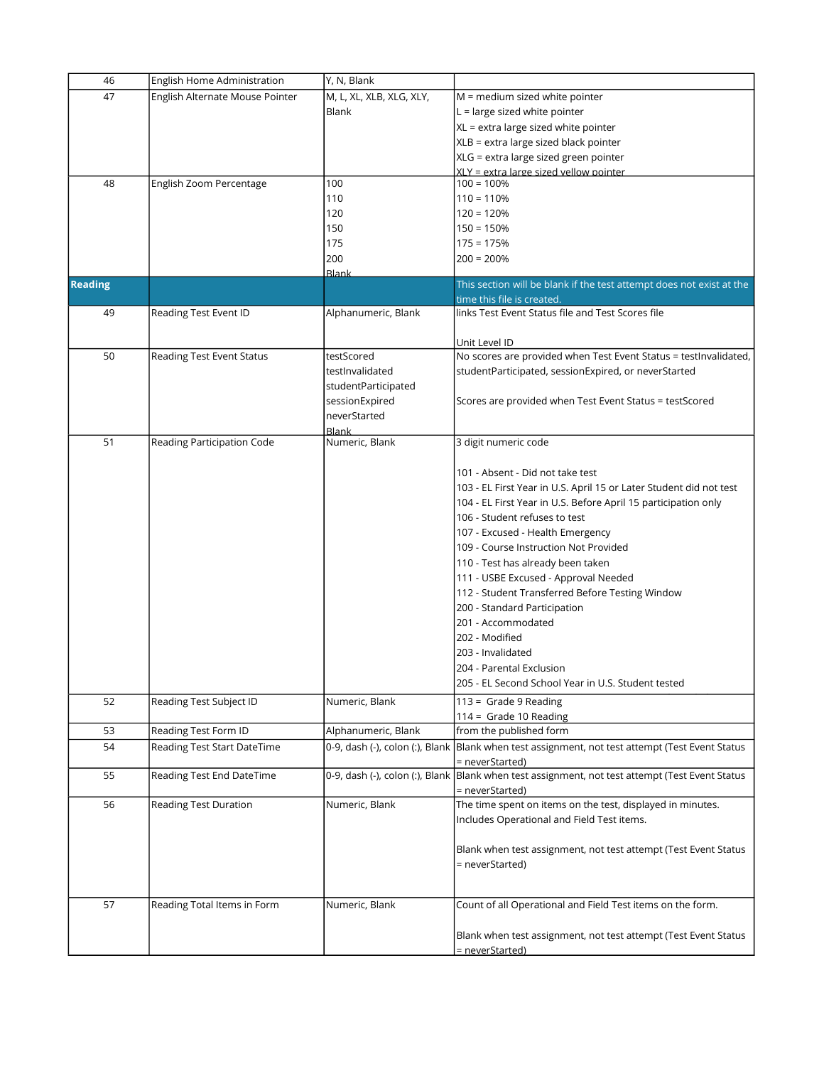| 46             | English Home Administration     | Y, N, Blank                     |                                                                                                  |
|----------------|---------------------------------|---------------------------------|--------------------------------------------------------------------------------------------------|
| 47             | English Alternate Mouse Pointer | M, L, XL, XLB, XLG, XLY,        | $M =$ medium sized white pointer                                                                 |
|                |                                 | <b>Blank</b>                    | $L =$ large sized white pointer                                                                  |
|                |                                 |                                 | XL = extra large sized white pointer                                                             |
|                |                                 |                                 | XLB = extra large sized black pointer                                                            |
|                |                                 |                                 | XLG = extra large sized green pointer                                                            |
|                |                                 |                                 | <u>XLY = extra large sized vellow pointer</u>                                                    |
| 48             | English Zoom Percentage         | 100                             | $100 = 100%$                                                                                     |
|                |                                 | 110                             | $110 = 110%$                                                                                     |
|                |                                 | 120                             | $120 = 120%$                                                                                     |
|                |                                 | 150                             | $150 = 150%$                                                                                     |
|                |                                 | 175                             | $175 = 175%$                                                                                     |
|                |                                 | 200                             | $200 = 200%$                                                                                     |
|                |                                 | Blank                           |                                                                                                  |
| <b>Reading</b> |                                 |                                 | This section will be blank if the test attempt does not exist at the                             |
|                |                                 |                                 | time this file is created                                                                        |
| 49             | Reading Test Event ID           | Alphanumeric, Blank             | links Test Event Status file and Test Scores file                                                |
|                |                                 |                                 |                                                                                                  |
| 50             | Reading Test Event Status       | testScored                      | Unit Level ID<br>No scores are provided when Test Event Status = testInvalidated,                |
|                |                                 | testInvalidated                 | studentParticipated, sessionExpired, or neverStarted                                             |
|                |                                 | studentParticipated             |                                                                                                  |
|                |                                 |                                 |                                                                                                  |
|                |                                 | sessionExpired                  | Scores are provided when Test Event Status = testScored                                          |
|                |                                 | neverStarted                    |                                                                                                  |
| 51             | Reading Participation Code      | Blank<br>Numeric, Blank         | 3 digit numeric code                                                                             |
|                |                                 |                                 |                                                                                                  |
|                |                                 |                                 | 101 - Absent - Did not take test                                                                 |
|                |                                 |                                 | 103 - EL First Year in U.S. April 15 or Later Student did not test                               |
|                |                                 |                                 | 104 - EL First Year in U.S. Before April 15 participation only                                   |
|                |                                 |                                 | 106 - Student refuses to test                                                                    |
|                |                                 |                                 |                                                                                                  |
|                |                                 |                                 | 107 - Excused - Health Emergency                                                                 |
|                |                                 |                                 | 109 - Course Instruction Not Provided                                                            |
|                |                                 |                                 | 110 - Test has already been taken                                                                |
|                |                                 |                                 | 111 - USBE Excused - Approval Needed                                                             |
|                |                                 |                                 | 112 - Student Transferred Before Testing Window                                                  |
|                |                                 |                                 | 200 - Standard Participation                                                                     |
|                |                                 |                                 | 201 - Accommodated                                                                               |
|                |                                 |                                 | 202 - Modified                                                                                   |
|                |                                 |                                 | 203 - Invalidated                                                                                |
|                |                                 |                                 | 204 - Parental Exclusion                                                                         |
|                |                                 |                                 | 205 - EL Second School Year in U.S. Student tested                                               |
| 52             | Reading Test Subject ID         | Numeric, Blank                  | $113 =$ Grade 9 Reading                                                                          |
|                |                                 |                                 | 114 = Grade 10 Reading                                                                           |
| 53             | Reading Test Form ID            | Alphanumeric, Blank             | from the published form                                                                          |
| 54             | Reading Test Start DateTime     |                                 | 0-9, dash (-), colon (:), Blank  Blank when test assignment, not test attempt (Test Event Status |
|                |                                 |                                 | = neverStarted)                                                                                  |
| 55             | Reading Test End DateTime       | 0-9, dash (-), colon (:), Blank | Blank when test assignment, not test attempt (Test Event Status                                  |
|                |                                 |                                 | = neverStarted)                                                                                  |
| 56             | Reading Test Duration           | Numeric, Blank                  | The time spent on items on the test, displayed in minutes.                                       |
|                |                                 |                                 | Includes Operational and Field Test items.                                                       |
|                |                                 |                                 |                                                                                                  |
|                |                                 |                                 | Blank when test assignment, not test attempt (Test Event Status                                  |
|                |                                 |                                 | = neverStarted)                                                                                  |
|                |                                 |                                 |                                                                                                  |
|                |                                 |                                 |                                                                                                  |
| 57             | Reading Total Items in Form     | Numeric, Blank                  | Count of all Operational and Field Test items on the form.                                       |
|                |                                 |                                 |                                                                                                  |
|                |                                 |                                 | Blank when test assignment, not test attempt (Test Event Status                                  |
|                |                                 |                                 | = neverStarted)                                                                                  |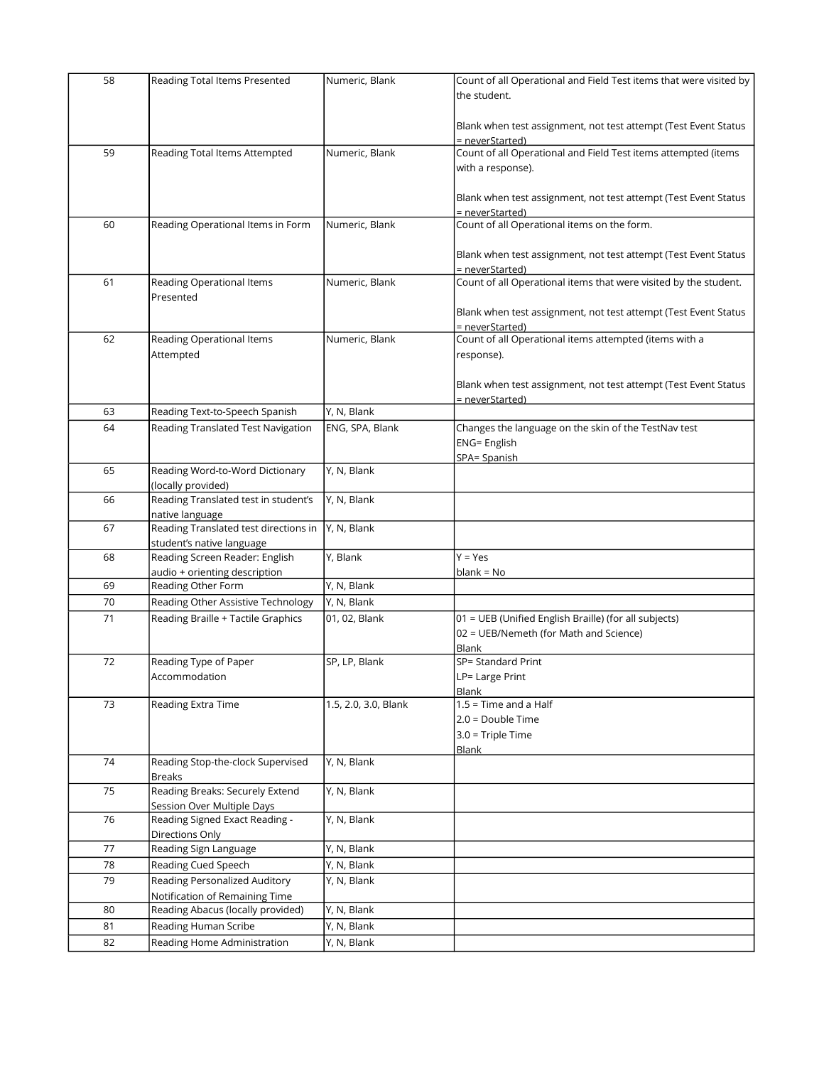| 58 | Reading Total Items Presented                    | Numeric, Blank       | Count of all Operational and Field Test items that were visited by        |
|----|--------------------------------------------------|----------------------|---------------------------------------------------------------------------|
|    |                                                  |                      | the student.                                                              |
|    |                                                  |                      |                                                                           |
|    |                                                  |                      | Blank when test assignment, not test attempt (Test Event Status           |
|    |                                                  |                      | = neverStarted)                                                           |
| 59 | Reading Total Items Attempted                    | Numeric, Blank       | Count of all Operational and Field Test items attempted (items            |
|    |                                                  |                      | with a response).                                                         |
|    |                                                  |                      |                                                                           |
|    |                                                  |                      | Blank when test assignment, not test attempt (Test Event Status           |
|    |                                                  |                      | = neverStarted)                                                           |
| 60 | Reading Operational Items in Form                | Numeric, Blank       | Count of all Operational items on the form.                               |
|    |                                                  |                      |                                                                           |
|    |                                                  |                      | Blank when test assignment, not test attempt (Test Event Status           |
|    |                                                  |                      | = neverStarted)                                                           |
| 61 | Reading Operational Items                        | Numeric, Blank       | Count of all Operational items that were visited by the student.          |
|    | Presented                                        |                      |                                                                           |
|    |                                                  |                      | Blank when test assignment, not test attempt (Test Event Status           |
| 62 | Reading Operational Items                        | Numeric, Blank       | = neverStarted)<br>Count of all Operational items attempted (items with a |
|    | Attempted                                        |                      |                                                                           |
|    |                                                  |                      | response).                                                                |
|    |                                                  |                      | Blank when test assignment, not test attempt (Test Event Status           |
|    |                                                  |                      | = neverStarted)                                                           |
| 63 | Reading Text-to-Speech Spanish                   | Y, N, Blank          |                                                                           |
| 64 | Reading Translated Test Navigation               | ENG, SPA, Blank      | Changes the language on the skin of the TestNav test                      |
|    |                                                  |                      | <b>ENG= English</b>                                                       |
|    |                                                  |                      | SPA= Spanish                                                              |
| 65 | Reading Word-to-Word Dictionary                  | Y, N, Blank          |                                                                           |
|    | (locally provided)                               |                      |                                                                           |
| 66 | Reading Translated test in student's             | Y, N, Blank          |                                                                           |
|    | native language                                  |                      |                                                                           |
| 67 | Reading Translated test directions in            | Y, N, Blank          |                                                                           |
|    | student's native language                        |                      |                                                                           |
| 68 | Reading Screen Reader: English                   | Y, Blank             | $Y = Yes$                                                                 |
|    | audio + orienting description                    |                      | blank = No                                                                |
| 69 | Reading Other Form                               | Y, N, Blank          |                                                                           |
| 70 | Reading Other Assistive Technology               | Y, N, Blank          |                                                                           |
| 71 | Reading Braille + Tactile Graphics               | 01, 02, Blank        | 01 = UEB (Unified English Braille) (for all subjects)                     |
|    |                                                  |                      | 02 = UEB/Nemeth (for Math and Science)                                    |
|    |                                                  |                      | Blank                                                                     |
| 72 | Reading Type of Paper                            | SP, LP, Blank        | SP= Standard Print                                                        |
|    | Accommodation                                    |                      | LP= Large Print                                                           |
|    |                                                  |                      | Blank                                                                     |
| 73 | Reading Extra Time                               | 1.5, 2.0, 3.0, Blank | $1.5$ = Time and a Half                                                   |
|    |                                                  |                      | 2.0 = Double Time                                                         |
|    |                                                  |                      | $3.0$ = Triple Time                                                       |
|    |                                                  |                      | <b>Blank</b>                                                              |
| 74 | Reading Stop-the-clock Supervised                | Y, N, Blank          |                                                                           |
| 75 | <b>Breaks</b><br>Reading Breaks: Securely Extend | Y, N, Blank          |                                                                           |
|    | Session Over Multiple Days                       |                      |                                                                           |
| 76 | Reading Signed Exact Reading -                   | Y, N, Blank          |                                                                           |
|    | Directions Only                                  |                      |                                                                           |
| 77 | Reading Sign Language                            | Y, N, Blank          |                                                                           |
| 78 | Reading Cued Speech                              | Y, N, Blank          |                                                                           |
| 79 | Reading Personalized Auditory                    | Y, N, Blank          |                                                                           |
|    | Notification of Remaining Time                   |                      |                                                                           |
| 80 | Reading Abacus (locally provided)                | Y, N, Blank          |                                                                           |
| 81 | Reading Human Scribe                             | Y, N, Blank          |                                                                           |
| 82 | Reading Home Administration                      | Y, N, Blank          |                                                                           |
|    |                                                  |                      |                                                                           |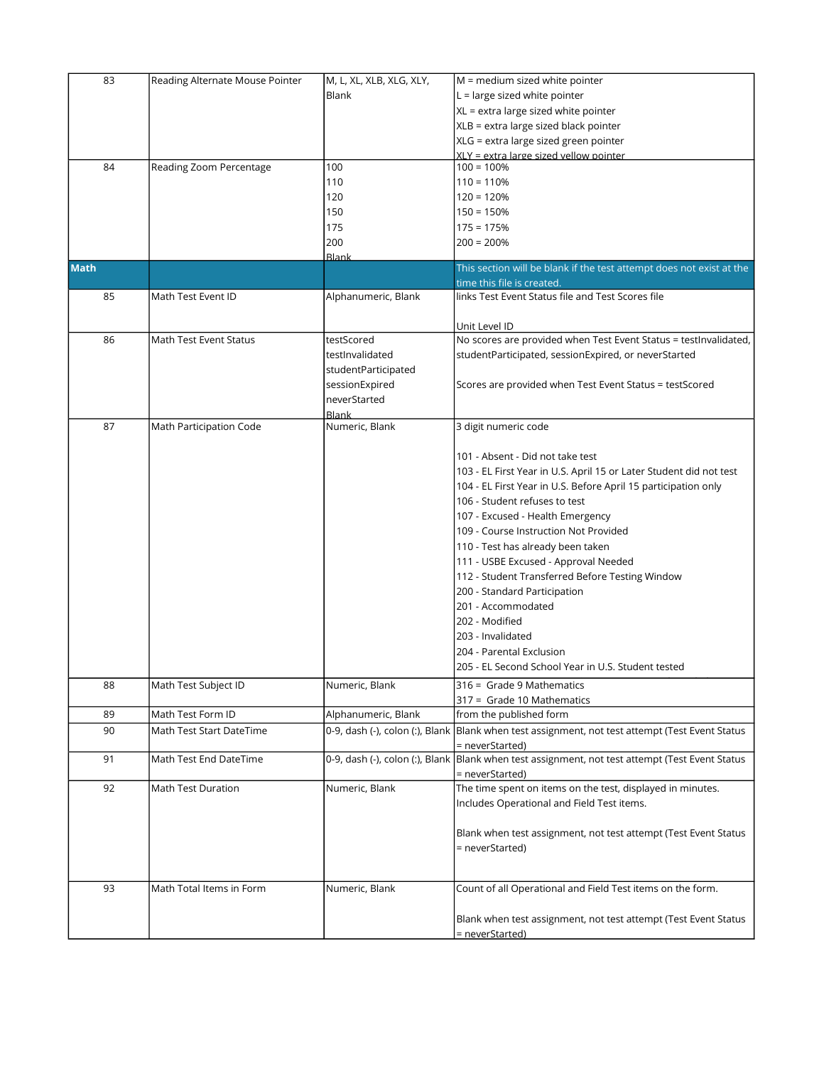| 83          | Reading Alternate Mouse Pointer | M, L, XL, XLB, XLG, XLY,       | $M =$ medium sized white pointer                                                                 |
|-------------|---------------------------------|--------------------------------|--------------------------------------------------------------------------------------------------|
|             |                                 | Blank                          | $L =$ large sized white pointer                                                                  |
|             |                                 |                                | XL = extra large sized white pointer                                                             |
|             |                                 |                                | XLB = extra large sized black pointer                                                            |
|             |                                 |                                | XLG = extra large sized green pointer                                                            |
|             |                                 |                                | XLY = extra large sized vellow pointer                                                           |
| 84          | Reading Zoom Percentage         | 100                            | $100 = 100%$                                                                                     |
|             |                                 | 110                            | $110 = 110%$                                                                                     |
|             |                                 | 120                            | $120 = 120%$                                                                                     |
|             |                                 | 150                            | $150 = 150%$                                                                                     |
|             |                                 | 175                            | $175 = 175%$                                                                                     |
|             |                                 | 200                            | $200 = 200%$                                                                                     |
|             |                                 | <b>Blank</b>                   |                                                                                                  |
| <b>Math</b> |                                 |                                | This section will be blank if the test attempt does not exist at the                             |
|             |                                 |                                | time this file is created.                                                                       |
| 85          | Math Test Event ID              | Alphanumeric, Blank            | links Test Event Status file and Test Scores file                                                |
|             |                                 |                                |                                                                                                  |
|             |                                 |                                | Unit Level ID                                                                                    |
| 86          | Math Test Event Status          | testScored                     | No scores are provided when Test Event Status = testInvalidated,                                 |
|             |                                 | testInvalidated                | studentParticipated, sessionExpired, or neverStarted                                             |
|             |                                 | studentParticipated            |                                                                                                  |
|             |                                 | sessionExpired                 | Scores are provided when Test Event Status = testScored                                          |
|             |                                 |                                |                                                                                                  |
|             |                                 | neverStarted                   |                                                                                                  |
| 87          | Math Participation Code         | <b>Blank</b><br>Numeric, Blank | 3 digit numeric code                                                                             |
|             |                                 |                                |                                                                                                  |
|             |                                 |                                | 101 - Absent - Did not take test                                                                 |
|             |                                 |                                |                                                                                                  |
|             |                                 |                                | 103 - EL First Year in U.S. April 15 or Later Student did not test                               |
|             |                                 |                                | 104 - EL First Year in U.S. Before April 15 participation only                                   |
|             |                                 |                                | 106 - Student refuses to test                                                                    |
|             |                                 |                                | 107 - Excused - Health Emergency                                                                 |
|             |                                 |                                | 109 - Course Instruction Not Provided                                                            |
|             |                                 |                                | 110 - Test has already been taken                                                                |
|             |                                 |                                | 111 - USBE Excused - Approval Needed                                                             |
|             |                                 |                                | 112 - Student Transferred Before Testing Window                                                  |
|             |                                 |                                | 200 - Standard Participation                                                                     |
|             |                                 |                                | 201 - Accommodated                                                                               |
|             |                                 |                                | 202 - Modified                                                                                   |
|             |                                 |                                | 203 - Invalidated                                                                                |
|             |                                 |                                | 204 - Parental Exclusion                                                                         |
|             |                                 |                                | 205 - EL Second School Year in U.S. Student tested                                               |
|             |                                 |                                |                                                                                                  |
| 88          | Math Test Subject ID            | Numeric, Blank                 | 316 = Grade 9 Mathematics                                                                        |
|             |                                 |                                | 317 = Grade 10 Mathematics                                                                       |
| 89          | Math Test Form ID               | Alphanumeric, Blank            | from the published form                                                                          |
| 90          | Math Test Start DateTime        |                                | 0-9, dash (-), colon (:), Blank  Blank when test assignment, not test attempt (Test Event Status |
|             |                                 |                                | = neverStarted)                                                                                  |
| 91          | Math Test End DateTime          |                                | 0-9, dash (-), colon (:), Blank Blank when test assignment, not test attempt (Test Event Status  |
|             |                                 |                                | = neverStarted)                                                                                  |
| 92          | Math Test Duration              | Numeric, Blank                 | The time spent on items on the test, displayed in minutes.                                       |
|             |                                 |                                | Includes Operational and Field Test items.                                                       |
|             |                                 |                                |                                                                                                  |
|             |                                 |                                | Blank when test assignment, not test attempt (Test Event Status                                  |
|             |                                 |                                | = neverStarted)                                                                                  |
|             |                                 |                                |                                                                                                  |
|             |                                 |                                |                                                                                                  |
| 93          | Math Total Items in Form        | Numeric, Blank                 | Count of all Operational and Field Test items on the form.                                       |
|             |                                 |                                |                                                                                                  |
|             |                                 |                                | Blank when test assignment, not test attempt (Test Event Status                                  |
|             |                                 |                                | <u>= neverStarted)</u>                                                                           |
|             |                                 |                                |                                                                                                  |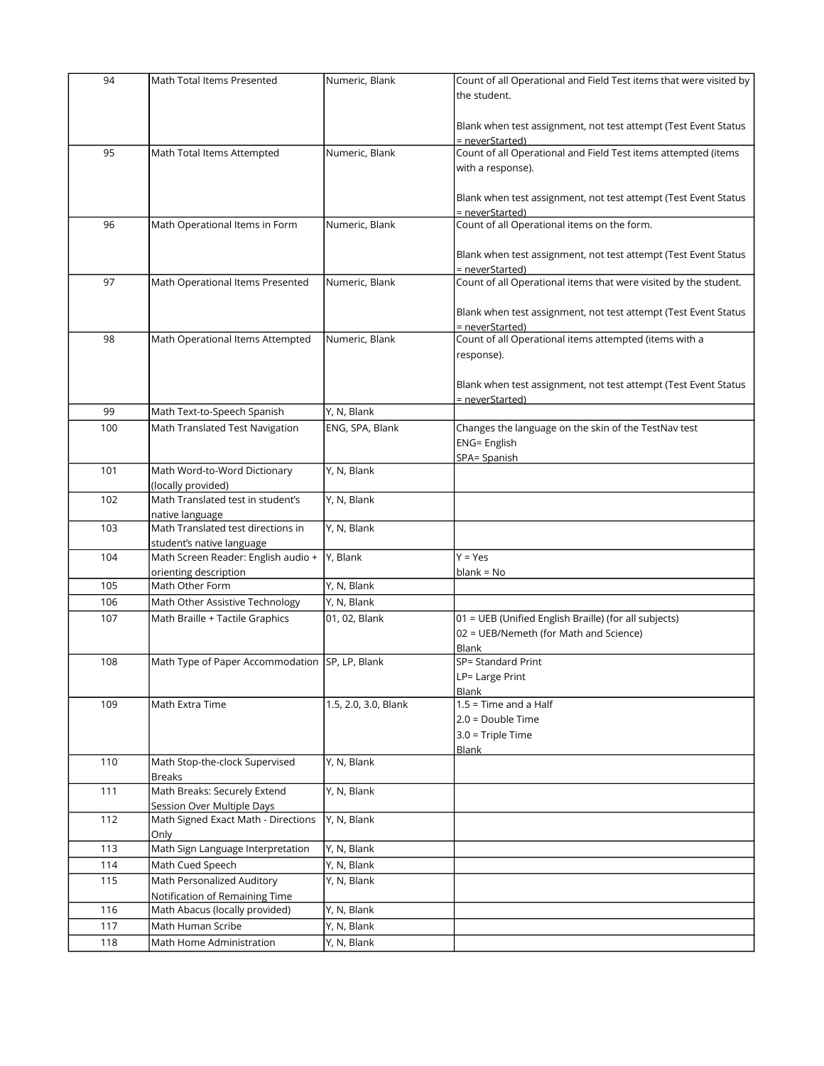| 94  | Math Total Items Presented                     | Numeric, Blank       | Count of all Operational and Field Test items that were visited by |
|-----|------------------------------------------------|----------------------|--------------------------------------------------------------------|
|     |                                                |                      | the student.                                                       |
|     |                                                |                      |                                                                    |
|     |                                                |                      | Blank when test assignment, not test attempt (Test Event Status    |
|     |                                                |                      | = neverStarted)                                                    |
| 95  | Math Total Items Attempted                     | Numeric, Blank       | Count of all Operational and Field Test items attempted (items     |
|     |                                                |                      |                                                                    |
|     |                                                |                      | with a response).                                                  |
|     |                                                |                      |                                                                    |
|     |                                                |                      | Blank when test assignment, not test attempt (Test Event Status    |
|     |                                                |                      | = neverStarted)                                                    |
| 96  | Math Operational Items in Form                 | Numeric, Blank       | Count of all Operational items on the form.                        |
|     |                                                |                      |                                                                    |
|     |                                                |                      | Blank when test assignment, not test attempt (Test Event Status    |
|     |                                                |                      | = neverStarted)                                                    |
| 97  | Math Operational Items Presented               | Numeric, Blank       | Count of all Operational items that were visited by the student.   |
|     |                                                |                      |                                                                    |
|     |                                                |                      | Blank when test assignment, not test attempt (Test Event Status    |
|     |                                                |                      | = neverStarted)                                                    |
| 98  | Math Operational Items Attempted               | Numeric, Blank       | Count of all Operational items attempted (items with a             |
|     |                                                |                      | response).                                                         |
|     |                                                |                      |                                                                    |
|     |                                                |                      | Blank when test assignment, not test attempt (Test Event Status    |
|     |                                                |                      | = neverStarted)                                                    |
| 99  | Math Text-to-Speech Spanish                    | Y, N, Blank          |                                                                    |
|     | Math Translated Test Navigation                |                      |                                                                    |
| 100 |                                                | ENG, SPA, Blank      | Changes the language on the skin of the TestNav test               |
|     |                                                |                      | <b>ENG= English</b>                                                |
|     |                                                |                      | SPA= Spanish                                                       |
| 101 | Math Word-to-Word Dictionary                   | Y, N, Blank          |                                                                    |
|     | (locally provided)                             |                      |                                                                    |
| 102 | Math Translated test in student's              | Y, N, Blank          |                                                                    |
|     | native language                                |                      |                                                                    |
| 103 | Math Translated test directions in             | Y, N, Blank          |                                                                    |
|     | student's native language                      |                      |                                                                    |
| 104 | Math Screen Reader: English audio +            | Y, Blank             | $Y = Yes$                                                          |
|     | orienting description                          |                      | $blank = No$                                                       |
| 105 | Math Other Form                                | Y, N, Blank          |                                                                    |
| 106 | Math Other Assistive Technology                | Y, N, Blank          |                                                                    |
| 107 | Math Braille + Tactile Graphics                | 01, 02, Blank        | 01 = UEB (Unified English Braille) (for all subjects)              |
|     |                                                |                      | 02 = UEB/Nemeth (for Math and Science)                             |
|     |                                                |                      |                                                                    |
| 108 | Math Type of Paper Accommodation SP, LP, Blank |                      | Blank<br>SP= Standard Print                                        |
|     |                                                |                      |                                                                    |
|     |                                                |                      | LP= Large Print                                                    |
|     |                                                |                      | Blank                                                              |
| 109 | Math Extra Time                                | 1.5, 2.0, 3.0, Blank | $1.5$ = Time and a Half                                            |
|     |                                                |                      | $2.0 = Double Time$                                                |
|     |                                                |                      | 3.0 = Triple Time                                                  |
|     |                                                |                      | <b>Blank</b>                                                       |
| 110 | Math Stop-the-clock Supervised                 | Y, N, Blank          |                                                                    |
|     | <b>Breaks</b>                                  |                      |                                                                    |
| 111 | Math Breaks: Securely Extend                   | Y, N, Blank          |                                                                    |
|     | Session Over Multiple Days                     |                      |                                                                    |
| 112 | Math Signed Exact Math - Directions            | Y, N, Blank          |                                                                    |
|     | Only                                           |                      |                                                                    |
| 113 | Math Sign Language Interpretation              | Y, N, Blank          |                                                                    |
| 114 | Math Cued Speech                               | Y, N, Blank          |                                                                    |
| 115 | Math Personalized Auditory                     | Y, N, Blank          |                                                                    |
|     | Notification of Remaining Time                 |                      |                                                                    |
| 116 | Math Abacus (locally provided)                 | Y, N, Blank          |                                                                    |
|     |                                                |                      |                                                                    |
| 117 | Math Human Scribe                              | Y, N, Blank          |                                                                    |
| 118 | Math Home Administration                       | Y, N, Blank          |                                                                    |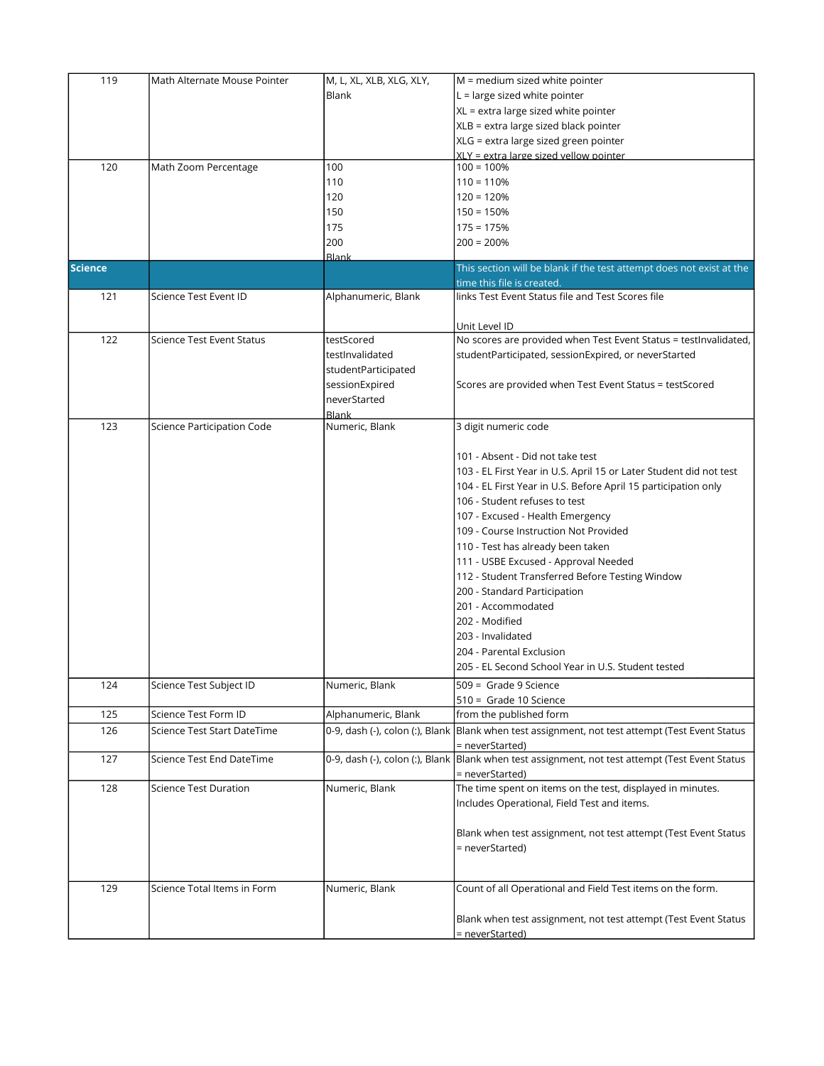| 119            | Math Alternate Mouse Pointer     | M, L, XL, XLB, XLG, XLY, | $M =$ medium sized white pointer                                                                 |
|----------------|----------------------------------|--------------------------|--------------------------------------------------------------------------------------------------|
|                |                                  | Blank                    | $L =$ large sized white pointer                                                                  |
|                |                                  |                          | XL = extra large sized white pointer                                                             |
|                |                                  |                          | XLB = extra large sized black pointer                                                            |
|                |                                  |                          | XLG = extra large sized green pointer                                                            |
|                |                                  |                          | XLY = extra large sized vellow pointer                                                           |
| 120            | Math Zoom Percentage             | 100                      | $100 = 100%$                                                                                     |
|                |                                  | 110                      | $110 = 110%$                                                                                     |
|                |                                  | 120                      | $120 = 120%$                                                                                     |
|                |                                  | 150                      | $150 = 150%$                                                                                     |
|                |                                  | 175                      | $175 = 175%$                                                                                     |
|                |                                  | 200                      | $200 = 200%$                                                                                     |
|                |                                  | <b>Blank</b>             |                                                                                                  |
| <b>Science</b> |                                  |                          | This section will be blank if the test attempt does not exist at the                             |
|                |                                  |                          | time this file is created.                                                                       |
| 121            | Science Test Event ID            | Alphanumeric, Blank      | links Test Event Status file and Test Scores file                                                |
|                |                                  |                          |                                                                                                  |
|                |                                  |                          | Unit Level ID                                                                                    |
| 122            | <b>Science Test Event Status</b> | testScored               | No scores are provided when Test Event Status = testInvalidated,                                 |
|                |                                  | testInvalidated          | studentParticipated, sessionExpired, or neverStarted                                             |
|                |                                  | studentParticipated      |                                                                                                  |
|                |                                  | sessionExpired           | Scores are provided when Test Event Status = testScored                                          |
|                |                                  | neverStarted             |                                                                                                  |
|                |                                  | <b>Blank</b>             |                                                                                                  |
| 123            | Science Participation Code       | Numeric, Blank           | 3 digit numeric code                                                                             |
|                |                                  |                          |                                                                                                  |
|                |                                  |                          | 101 - Absent - Did not take test                                                                 |
|                |                                  |                          | 103 - EL First Year in U.S. April 15 or Later Student did not test                               |
|                |                                  |                          | 104 - EL First Year in U.S. Before April 15 participation only                                   |
|                |                                  |                          | 106 - Student refuses to test                                                                    |
|                |                                  |                          | 107 - Excused - Health Emergency                                                                 |
|                |                                  |                          | 109 - Course Instruction Not Provided                                                            |
|                |                                  |                          |                                                                                                  |
|                |                                  |                          | 110 - Test has already been taken                                                                |
|                |                                  |                          | 111 - USBE Excused - Approval Needed                                                             |
|                |                                  |                          | 112 - Student Transferred Before Testing Window                                                  |
|                |                                  |                          | 200 - Standard Participation                                                                     |
|                |                                  |                          | 201 - Accommodated                                                                               |
|                |                                  |                          | 202 - Modified                                                                                   |
|                |                                  |                          | 203 - Invalidated                                                                                |
|                |                                  |                          | 204 - Parental Exclusion                                                                         |
|                |                                  |                          | 205 - EL Second School Year in U.S. Student tested                                               |
| 124            | Science Test Subject ID          | Numeric, Blank           | 509 = Grade 9 Science                                                                            |
|                |                                  |                          | 510 = Grade 10 Science                                                                           |
| 125            | Science Test Form ID             | Alphanumeric, Blank      | from the published form                                                                          |
| 126            | Science Test Start DateTime      |                          | 0-9, dash (-), colon (:), Blank  Blank when test assignment, not test attempt (Test Event Status |
|                |                                  |                          | = neverStarted)                                                                                  |
| 127            | Science Test End DateTime        |                          | 0-9, dash (-), colon (:), Blank  Blank when test assignment, not test attempt (Test Event Status |
|                |                                  |                          | = neverStarted)                                                                                  |
| 128            | <b>Science Test Duration</b>     | Numeric, Blank           | The time spent on items on the test, displayed in minutes.                                       |
|                |                                  |                          | Includes Operational, Field Test and items.                                                      |
|                |                                  |                          |                                                                                                  |
|                |                                  |                          |                                                                                                  |
|                |                                  |                          | Blank when test assignment, not test attempt (Test Event Status                                  |
|                |                                  |                          | = neverStarted)                                                                                  |
|                |                                  |                          |                                                                                                  |
| 129            | Science Total Items in Form      | Numeric, Blank           | Count of all Operational and Field Test items on the form.                                       |
|                |                                  |                          |                                                                                                  |
|                |                                  |                          |                                                                                                  |
|                |                                  |                          | Blank when test assignment, not test attempt (Test Event Status                                  |
|                |                                  |                          | = neverStarted)                                                                                  |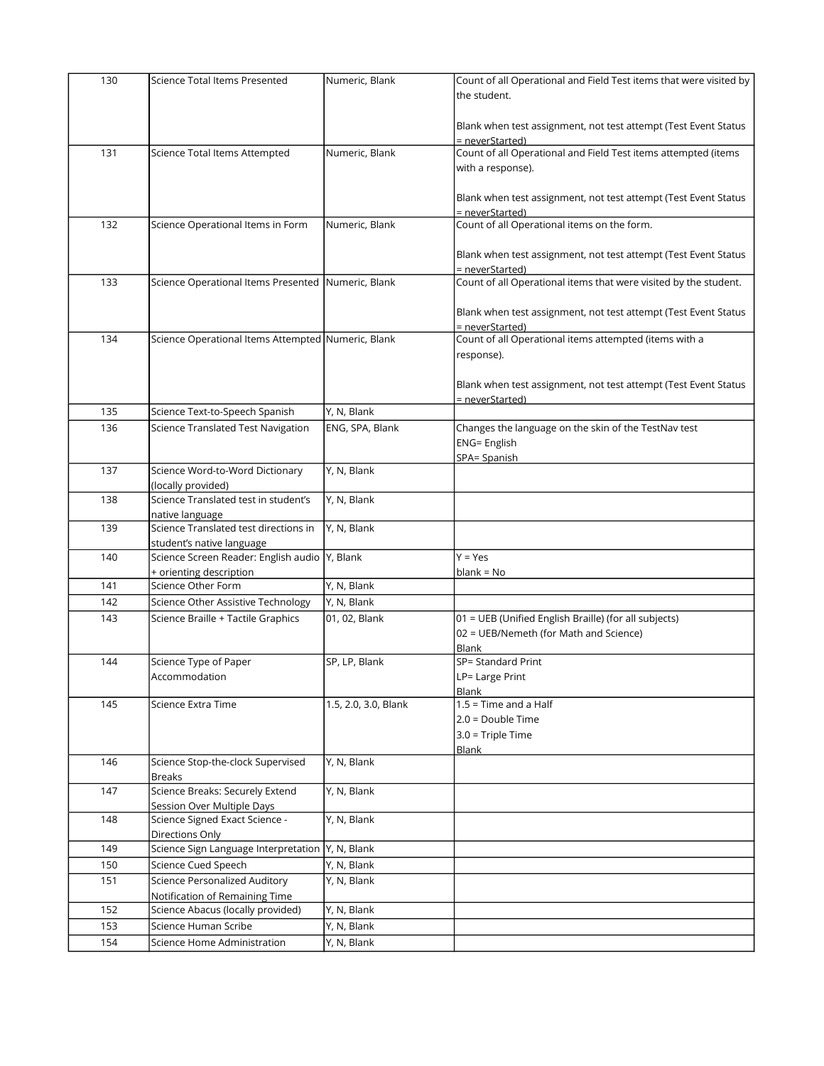| 130 | Science Total Items Presented                      | Numeric, Blank       | Count of all Operational and Field Test items that were visited by                  |
|-----|----------------------------------------------------|----------------------|-------------------------------------------------------------------------------------|
|     |                                                    |                      | the student.                                                                        |
|     |                                                    |                      |                                                                                     |
|     |                                                    |                      | Blank when test assignment, not test attempt (Test Event Status                     |
|     |                                                    |                      | = neverStarted)                                                                     |
| 131 | Science Total Items Attempted                      | Numeric, Blank       | Count of all Operational and Field Test items attempted (items                      |
|     |                                                    |                      | with a response).                                                                   |
|     |                                                    |                      |                                                                                     |
|     |                                                    |                      |                                                                                     |
|     |                                                    |                      | Blank when test assignment, not test attempt (Test Event Status                     |
| 132 | Science Operational Items in Form                  | Numeric, Blank       | = neverStarted)<br>Count of all Operational items on the form.                      |
|     |                                                    |                      |                                                                                     |
|     |                                                    |                      |                                                                                     |
|     |                                                    |                      | Blank when test assignment, not test attempt (Test Event Status                     |
| 133 | Science Operational Items Presented Numeric, Blank |                      | = neverStarted)<br>Count of all Operational items that were visited by the student. |
|     |                                                    |                      |                                                                                     |
|     |                                                    |                      |                                                                                     |
|     |                                                    |                      | Blank when test assignment, not test attempt (Test Event Status                     |
| 134 | Science Operational Items Attempted Numeric, Blank |                      | = neverStarted)<br>Count of all Operational items attempted (items with a           |
|     |                                                    |                      |                                                                                     |
|     |                                                    |                      | response).                                                                          |
|     |                                                    |                      |                                                                                     |
|     |                                                    |                      | Blank when test assignment, not test attempt (Test Event Status                     |
|     |                                                    | Y, N, Blank          | = neverStarted)                                                                     |
| 135 | Science Text-to-Speech Spanish                     |                      |                                                                                     |
| 136 | Science Translated Test Navigation                 | ENG, SPA, Blank      | Changes the language on the skin of the TestNav test                                |
|     |                                                    |                      | <b>ENG= English</b>                                                                 |
|     |                                                    |                      | SPA= Spanish                                                                        |
| 137 | Science Word-to-Word Dictionary                    | Y, N, Blank          |                                                                                     |
|     | (locally provided)                                 |                      |                                                                                     |
| 138 | Science Translated test in student's               | Y, N, Blank          |                                                                                     |
|     | native language                                    |                      |                                                                                     |
| 139 | Science Translated test directions in              | Y, N, Blank          |                                                                                     |
|     | student's native language                          |                      |                                                                                     |
| 140 | Science Screen Reader: English audio Y, Blank      |                      | $Y = Yes$                                                                           |
|     | + orienting description                            |                      | $blank = No$                                                                        |
| 141 | Science Other Form                                 | Y, N, Blank          |                                                                                     |
| 142 | Science Other Assistive Technology                 | Y, N, Blank          |                                                                                     |
| 143 | Science Braille + Tactile Graphics                 | 01, 02, Blank        | 01 = UEB (Unified English Braille) (for all subjects)                               |
|     |                                                    |                      | 02 = UEB/Nemeth (for Math and Science)                                              |
|     |                                                    |                      | Blank                                                                               |
| 144 | Science Type of Paper                              | SP, LP, Blank        | SP= Standard Print                                                                  |
|     | Accommodation                                      |                      | LP= Large Print                                                                     |
|     |                                                    |                      | Blank                                                                               |
| 145 | Science Extra Time                                 | 1.5, 2.0, 3.0, Blank | $1.5$ = Time and a Half                                                             |
|     |                                                    |                      | $2.0 = Double Time$                                                                 |
|     |                                                    |                      | 3.0 = Triple Time                                                                   |
|     |                                                    |                      | <b>Blank</b>                                                                        |
| 146 | Science Stop-the-clock Supervised                  | Y, N, Blank          |                                                                                     |
|     | <b>Breaks</b>                                      |                      |                                                                                     |
| 147 | Science Breaks: Securely Extend                    | Y, N, Blank          |                                                                                     |
|     | Session Over Multiple Days                         |                      |                                                                                     |
| 148 | Science Signed Exact Science -                     | Y, N, Blank          |                                                                                     |
|     | Directions Only                                    |                      |                                                                                     |
| 149 | Science Sign Language Interpretation   Y, N, Blank |                      |                                                                                     |
| 150 | Science Cued Speech                                | Y, N, Blank          |                                                                                     |
| 151 | Science Personalized Auditory                      | Y, N, Blank          |                                                                                     |
|     | Notification of Remaining Time                     |                      |                                                                                     |
| 152 | Science Abacus (locally provided)                  | Y, N, Blank          |                                                                                     |
| 153 | Science Human Scribe                               | Y, N, Blank          |                                                                                     |
| 154 | Science Home Administration                        | Y, N, Blank          |                                                                                     |
|     |                                                    |                      |                                                                                     |